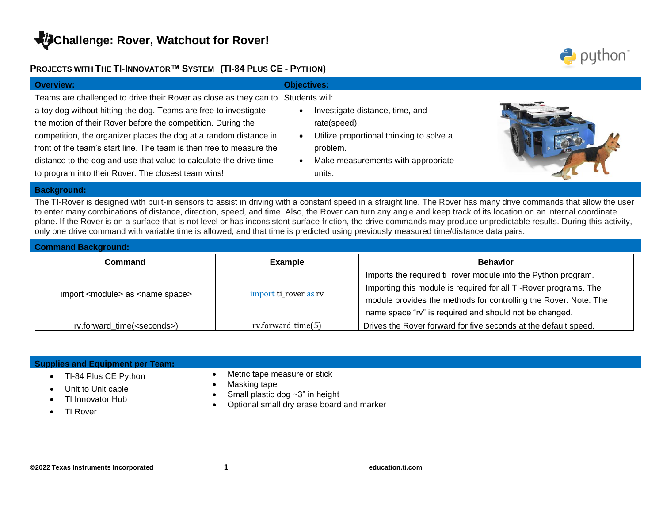## **PROJECTS WITH THE TI-INNOVATOR™ SYSTEM (TI-84 PLUS CE - PYTHON)**



#### **Background:**

The TI-Rover is designed with built-in sensors to assist in driving with a constant speed in a straight line. The Rover has many drive commands that allow the user to enter many combinations of distance, direction, speed, and time. Also, the Rover can turn any angle and keep track of its location on an internal coordinate plane. If the Rover is on a surface that is not level or has inconsistent surface friction, the drive commands may produce unpredictable results. During this activity, only one drive command with variable time is allowed, and that time is predicted using previously measured time/distance data pairs.

| <b>Command Background:</b>                         |                       |                                                                                                                                                                                                                                                                 |
|----------------------------------------------------|-----------------------|-----------------------------------------------------------------------------------------------------------------------------------------------------------------------------------------------------------------------------------------------------------------|
| Command                                            | Example               | <b>Behavior</b>                                                                                                                                                                                                                                                 |
| import <module> as <name space=""></name></module> | import ti_rover as rv | Imports the required ti_rover module into the Python program.<br>Importing this module is required for all TI-Rover programs. The<br>module provides the methods for controlling the Rover. Note: The<br>name space "rv" is required and should not be changed. |
| rv.forward_time( <seconds>)</seconds>              | rv.forward_time(5)    | Drives the Rover forward for five seconds at the default speed.                                                                                                                                                                                                 |

| <b>Supplies and Equipment per Team:</b> |                                           |
|-----------------------------------------|-------------------------------------------|
| TI-84 Plus CE Python                    | Metric tape measure or stick              |
| Unit to Unit cable                      | Masking tape                              |
| TI Innovator Hub                        | Small plastic dog $\sim$ 3" in height     |
| TI Rover                                | Optional small dry erase board and marker |

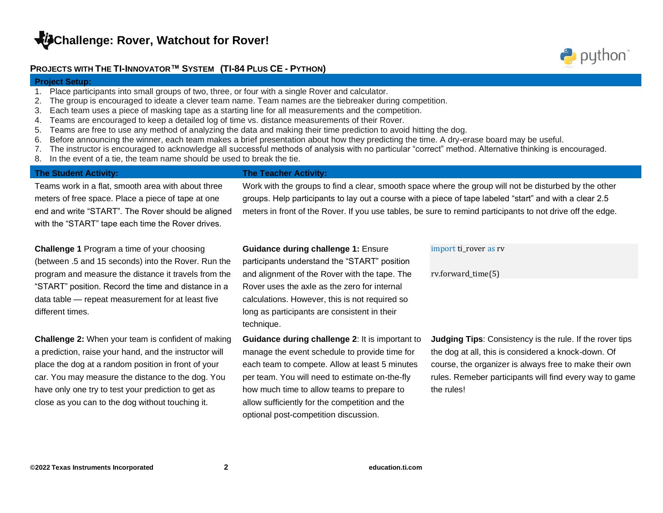### **PROJECTS WITH THE TI-INNOVATOR™ SYSTEM (TI-84 PLUS CE - PYTHON)**

#### **Project Setup:**

- 1. Place participants into small groups of two, three, or four with a single Rover and calculator.
- 2. The group is encouraged to ideate a clever team name. Team names are the tiebreaker during competition.
- 3. Each team uses a piece of masking tape as a starting line for all measurements and the competition.
- 4. Teams are encouraged to keep a detailed log of time vs. distance measurements of their Rover.
- 5. Teams are free to use any method of analyzing the data and making their time prediction to avoid hitting the dog.
- 6. Before announcing the winner, each team makes a brief presentation about how they predicting the time. A dry-erase board may be useful.
- 7. The instructor is encouraged to acknowledge all successful methods of analysis with no particular "correct" method. Alternative thinking is encouraged.
- 8. In the event of a tie, the team name should be used to break the tie.

#### **The Student Activity: The Teacher Activity:**

# Teams work in a flat, smooth area with about three meters of free space. Place a piece of tape at one end and write "START". The Rover should be aligned with the "START" tape each time the Rover drives.

# **Challenge 1** Program a time of your choosing (between .5 and 15 seconds) into the Rover. Run the program and measure the distance it travels from the "START" position. Record the time and distance in a data table — repeat measurement for at least five different times.

**Challenge 2:** When your team is confident of making a prediction, raise your hand, and the instructor will place the dog at a random position in front of your car. You may measure the distance to the dog. You have only one try to test your prediction to get as close as you can to the dog without touching it.

Work with the groups to find a clear, smooth space where the group will not be disturbed by the other groups. Help participants to lay out a course with a piece of tape labeled "start" and with a clear 2.5 meters in front of the Rover. If you use tables, be sure to remind participants to not drive off the edge.

#### **Guidance during challenge 1:** Ensure

participants understand the "START" position and alignment of the Rover with the tape. The Rover uses the axle as the zero for internal calculations. However, this is not required so long as participants are consistent in their technique.

**Guidance during challenge 2**: It is important to manage the event schedule to provide time for each team to compete. Allow at least 5 minutes per team. You will need to estimate on-the-fly how much time to allow teams to prepare to allow sufficiently for the competition and the optional post-competition discussion.

#### import ti rover as rv

#### rv.forward\_time(5)

**Judging Tips**: Consistency is the rule. If the rover tips the dog at all, this is considered a knock-down. Of course, the organizer is always free to make their own rules. Remeber participants will find every way to game the rules!